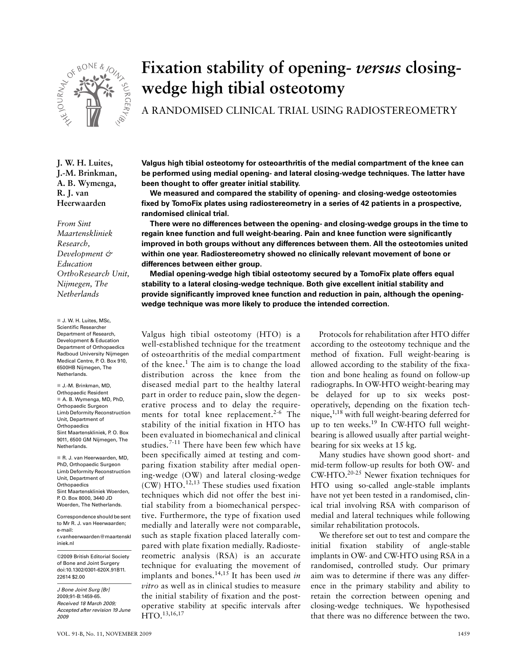

# **Fixation stability of opening-** *versus* **closingwedge high tibial osteotomy**

A RANDOMISED CLINICAL TRIAL USING RADIOSTEREOMETRY

**J. W. H. Luites, J.-M. Brinkman, A. B. Wymenga, R. J. van Heerwaarden**

*From Sint Maartenskliniek Research, Development & Education OrthoResearch Unit, Nijmegen, The Netherlands*

 J. W. H. Luites, MSc, Scientific Researcher Department of Research, Development & Education Department of Orthopaedics Radboud University Nijmegen Medical Centre, P. O. Box 910, 6500HB Nijmegen, The Netherlands.

 J.-M. Brinkman, MD, Orthopaedic Resident A. B. Wymenga, MD, PhD, Orthopaedic Surgeon Limb Deformity Reconstruction Unit, Department of **Orthopaedics**  $Sint Maxtenskliniek, P. O. Row$ 9011, 6500 GM Nijmegen, The Netherlands.

 R. J. van Heerwaarden, MD, PhD, Orthopaedic Surgeon Limb Deformity Reconstruction Unit, Department of Orthopaedics Sint Maartenskliniek Woerden, P. O. Box 8000, 3440 JD Woerden, The Netherlands.

Correspondence should be sent to Mr R. J. van Heerwaarden; e-mail: r.vanheerwaarden@maartenskl iniek.nl

©2009 British Editorial Society of Bone and Joint Surgery doi:10.1302/0301-620X.91B11. 22614 \$2.00

J Bone Joint Surg [Br] 2009;91-B:1459-65. Received 18 March 2009; Accepted after revision 19 June 2009

**Valgus high tibial osteotomy for osteoarthritis of the medial compartment of the knee can be performed using medial opening- and lateral closing-wedge techniques. The latter have been thought to offer greater initial stability.**

**We measured and compared the stability of opening- and closing-wedge osteotomies fixed by TomoFix plates using radiostereometry in a series of 42 patients in a prospective, randomised clinical trial.**

**There were no differences between the opening- and closing-wedge groups in the time to regain knee function and full weight-bearing. Pain and knee function were significantly improved in both groups without any differences between them. All the osteotomies united within one year. Radiostereometry showed no clinically relevant movement of bone or differences between either group.**

**Medial opening-wedge high tibial osteotomy secured by a TomoFix plate offers equal stability to a lateral closing-wedge technique. Both give excellent initial stability and provide significantly improved knee function and reduction in pain, although the openingwedge technique was more likely to produce the intended correction.**

Valgus high tibial osteotomy (HTO) is a well-established technique for the treatment of osteoarthritis of the medial compartment of the knee.<sup>1</sup> The aim is to change the load distribution across the knee from the diseased medial part to the healthy lateral part in order to reduce pain, slow the degenerative process and to delay the requirements for total knee replacement.<sup>2-6</sup> The stability of the initial fixation in HTO has been evaluated in biomechanical and clinical studies.<sup>7-11</sup> There have been few which have been specifically aimed at testing and comparing fixation stability after medial opening-wedge (OW) and lateral closing-wedge (CW) HTO. $12,13$  These studies used fixation techniques which did not offer the best initial stability from a biomechanical perspective. Furthermore, the type of fixation used medially and laterally were not comparable, such as staple fixation placed laterally compared with plate fixation medially. Radiostereometric analysis (RSA) is an accurate technique for evaluating the movement of implants and bones.14,15 It has been used *in vitro* as well as in clinical studies to measure the initial stability of fixation and the postoperative stability at specific intervals after HTO.13,16,17

Protocols for rehabilitation after HTO differ according to the osteotomy technique and the method of fixation. Full weight-bearing is allowed according to the stability of the fixation and bone healing as found on follow-up radiographs. In OW-HTO weight-bearing may be delayed for up to six weeks postoperatively, depending on the fixation technique, $1,18$  with full weight-bearing deferred for up to ten weeks.<sup>19</sup> In CW-HTO full weightbearing is allowed usually after partial weightbearing for six weeks at 15 kg.

Many studies have shown good short- and mid-term follow-up results for both OW- and CW-HTO.20-25 Newer fixation techniques for HTO using so-called angle-stable implants have not yet been tested in a randomised, clinical trial involving RSA with comparison of medial and lateral techniques while following similar rehabilitation protocols.

We therefore set out to test and compare the initial fixation stability of angle-stable implants in OW- and CW-HTO using RSA in a randomised, controlled study. Our primary aim was to determine if there was any difference in the primary stability and ability to retain the correction between opening and closing-wedge techniques. We hypothesised that there was no difference between the two.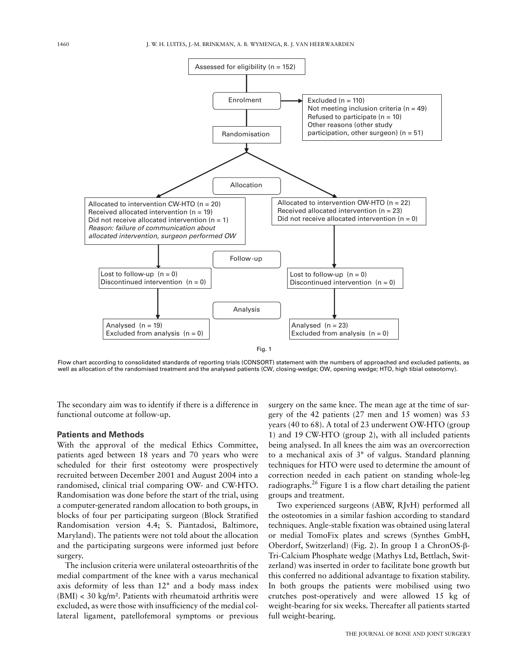

Flow chart according to consolidated standards of reporting trials (CONSORT) statement with the numbers of approached and excluded patients, as well as allocation of the randomised treatment and the analysed patients (CW, closing-wedge; OW, opening wedge; HTO, high tibial osteotomy).

The secondary aim was to identify if there is a difference in functional outcome at follow-up.

## **Patients and Methods**

With the approval of the medical Ethics Committee, patients aged between 18 years and 70 years who were scheduled for their first osteotomy were prospectively recruited between December 2001 and August 2004 into a randomised, clinical trial comparing OW- and CW-HTO. Randomisation was done before the start of the trial, using a computer-generated random allocation to both groups, in blocks of four per participating surgeon (Block Stratified Randomisation version 4.4; S. Piantadosi, Baltimore, Maryland). The patients were not told about the allocation and the participating surgeons were informed just before surgery.

The inclusion criteria were unilateral osteoarthritis of the medial compartment of the knee with a varus mechanical axis deformity of less than 12° and a body mass index  $(BMI) < 30 \text{ kg/m}^2$ . Patients with rheumatoid arthritis were excluded, as were those with insufficiency of the medial collateral ligament, patellofemoral symptoms or previous

surgery on the same knee. The mean age at the time of surgery of the 42 patients (27 men and 15 women) was 53 years (40 to 68). A total of 23 underwent OW-HTO (group 1) and 19 CW-HTO (group 2), with all included patients being analysed. In all knees the aim was an overcorrection to a mechanical axis of 3° of valgus. Standard planning techniques for HTO were used to determine the amount of correction needed in each patient on standing whole-leg radiographs.<sup>26</sup> Figure 1 is a flow chart detailing the patient groups and treatment.

Two experienced surgeons (ABW, RJvH) performed all the osteotomies in a similar fashion according to standard techniques. Angle-stable fixation was obtained using lateral or medial TomoFix plates and screws (Synthes GmbH, Oberdorf, Switzerland) (Fig. 2). In group 1 a ChronOS-β-Tri-Calcium Phosphate wedge (Mathys Ltd, Bettlach, Switzerland) was inserted in order to facilitate bone growth but this conferred no additional advantage to fixation stability. In both groups the patients were mobilised using two crutches post-operatively and were allowed 15 kg of weight-bearing for six weeks. Thereafter all patients started full weight-bearing.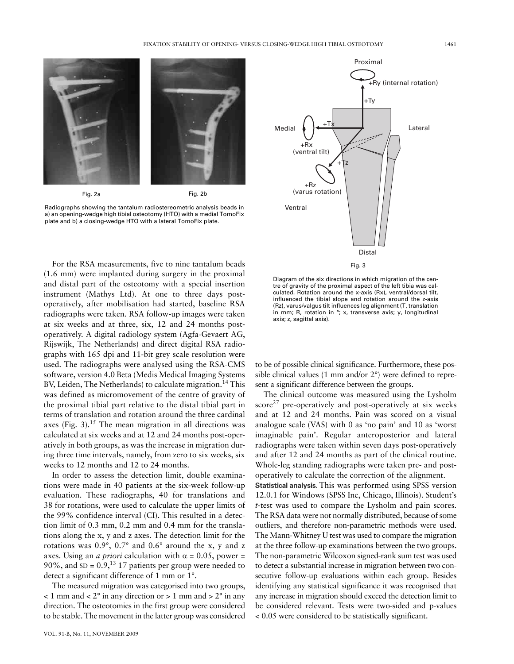

Fig. 2a

Fig. 2b

Radiographs showing the tantalum radiostereometric analysis beads in a) an opening-wedge high tibial osteotomy (HTO) with a medial TomoFix plate and b) a closing-wedge HTO with a lateral TomoFix plate.

For the RSA measurements, five to nine tantalum beads (1.6 mm) were implanted during surgery in the proximal and distal part of the osteotomy with a special insertion instrument (Mathys Ltd). At one to three days postoperatively, after mobilisation had started, baseline RSA radiographs were taken. RSA follow-up images were taken at six weeks and at three, six, 12 and 24 months postoperatively. A digital radiology system (Agfa-Gevaert AG, Rijswijk, The Netherlands) and direct digital RSA radiographs with 165 dpi and 11-bit grey scale resolution were used. The radiographs were analysed using the RSA-CMS software, version 4.0 Beta (Medis Medical Imaging Systems BV, Leiden, The Netherlands) to calculate migration.<sup>14</sup> This was defined as micromovement of the centre of gravity of the proximal tibial part relative to the distal tibial part in terms of translation and rotation around the three cardinal axes (Fig. 3).<sup>15</sup> The mean migration in all directions was calculated at six weeks and at 12 and 24 months post-operatively in both groups, as was the increase in migration during three time intervals, namely, from zero to six weeks, six weeks to 12 months and 12 to 24 months.

In order to assess the detection limit, double examinations were made in 40 patients at the six-week follow-up evaluation. These radiographs, 40 for translations and 38 for rotations, were used to calculate the upper limits of the 99% confidence interval (CI). This resulted in a detection limit of 0.3 mm, 0.2 mm and 0.4 mm for the translations along the x, y and z axes. The detection limit for the rotations was 0.9°, 0.7° and 0.6° around the x, y and z axes. Using an *a priori* calculation with  $\alpha = 0.05$ , power = 90%, and  $SD = 0.9$ ,<sup>13</sup> 17 patients per group were needed to detect a significant difference of 1 mm or 1°.

The measured migration was categorised into two groups,  $<$  1 mm and  $<$  2 $\degree$  in any direction or  $>$  1 mm and  $>$  2 $\degree$  in any direction. The osteotomies in the first group were considered to be stable. The movement in the latter group was considered



Diagram of the six directions in which migration of the centre of gravity of the proximal aspect of the left tibia was calculated. Rotation around the x-axis (Rx), ventral/dorsal tilt, influenced the tibial slope and rotation around the z-axis (Rz), varus/valgus tilt influences leg alignment (T, translation in mm; R, rotation in °; x, transverse axis; y, longitudinal axis; z, sagittal axis).

to be of possible clinical significance. Furthermore, these possible clinical values (1 mm and/or 2°) were defined to represent a significant difference between the groups.

The clinical outcome was measured using the Lysholm  $score^{27}$  pre-operatively and post-operatively at six weeks and at 12 and 24 months. Pain was scored on a visual analogue scale (VAS) with 0 as 'no pain' and 10 as 'worst imaginable pain'. Regular anteroposterior and lateral radiographs were taken within seven days post-operatively and after 12 and 24 months as part of the clinical routine. Whole-leg standing radiographs were taken pre- and postoperatively to calculate the correction of the alignment.

**Statistical analysis.** This was performed using SPSS version 12.0.1 for Windows (SPSS Inc, Chicago, Illinois). Student's *t*-test was used to compare the Lysholm and pain scores. The RSA data were not normally distributed, because of some outliers, and therefore non-parametric methods were used. The Mann-Whitney U test was used to compare the migration at the three follow-up examinations between the two groups. The non-parametric Wilcoxon signed-rank sum test was used to detect a substantial increase in migration between two consecutive follow-up evaluations within each group. Besides identifying any statistical significance it was recognised that any increase in migration should exceed the detection limit to be considered relevant. Tests were two-sided and p-values < 0.05 were considered to be statistically significant.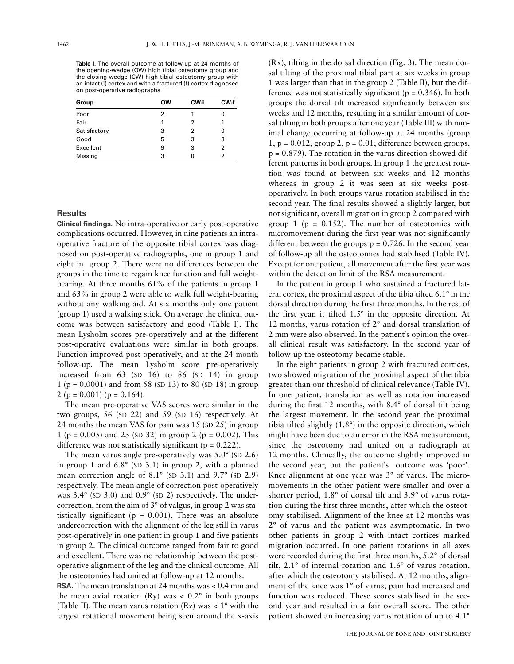Table I. The overall outcome at follow-up at 24 months of the opening-wedge (OW) high tibial osteotomy group and the closing-wedge (CW) high tibial osteotomy group with an intact (i) cortex and with a fractured (f) cortex diagnosed on post-operative radiographs

| Group        | ow | CW-i | CW-f |
|--------------|----|------|------|
| Poor         | 2  |      | 0    |
| Fair         | 1  | 2    |      |
| Satisfactory | 3  | 2    | 0    |
| Good         | 5  | 3    | 3    |
| Excellent    | 9  | 3    | 2    |
| Missing      | 3  | 0    | 2    |

### **Results**

**Clinical findings.** No intra-operative or early post-operative complications occurred. However, in nine patients an intraoperative fracture of the opposite tibial cortex was diagnosed on post-operative radiographs, one in group 1 and eight in group 2. There were no differences between the groups in the time to regain knee function and full weightbearing. At three months 61% of the patients in group 1 and 63% in group 2 were able to walk full weight-bearing without any walking aid. At six months only one patient (group 1) used a walking stick. On average the clinical outcome was between satisfactory and good (Table I). The mean Lysholm scores pre-operatively and at the different post-operative evaluations were similar in both groups. Function improved post-operatively, and at the 24-month follow-up. The mean Lysholm score pre-operatively increased from 63 (SD 16) to 86 (SD 14) in group 1 (p = 0.0001) and from 58 (SD 13) to 80 (SD 18) in group 2 ( $p = 0.001$ ) ( $p = 0.164$ ).

The mean pre-operative VAS scores were similar in the two groups, 56 (SD 22) and 59 (SD 16) respectively. At 24 months the mean VAS for pain was 15 (SD 25) in group 1 (p = 0.005) and 23 (sp 32) in group 2 (p = 0.002). This difference was not statistically significant ( $p = 0.222$ ).

The mean varus angle pre-operatively was  $5.0^{\circ}$  (SD 2.6) in group 1 and 6.8° (SD 3.1) in group 2, with a planned mean correction angle of 8.1° (SD 3.1) and 9.7° (SD 2.9) respectively. The mean angle of correction post-operatively was 3.4° (SD 3.0) and 0.9° (SD 2) respectively. The undercorrection, from the aim of 3° of valgus, in group 2 was statistically significant ( $p = 0.001$ ). There was an absolute undercorrection with the alignment of the leg still in varus post-operatively in one patient in group 1 and five patients in group 2. The clinical outcome ranged from fair to good and excellent. There was no relationship between the postoperative alignment of the leg and the clinical outcome. All the osteotomies had united at follow-up at 12 months.

**RSA.** The mean translation at 24 months was < 0.4 mm and the mean axial rotation  $(Ry)$  was  $\lt 0.2^\circ$  in both groups (Table II). The mean varus rotation (Rz) was  $< 1^{\circ}$  with the largest rotational movement being seen around the x-axis

(Rx), tilting in the dorsal direction (Fig. 3). The mean dorsal tilting of the proximal tibial part at six weeks in group 1 was larger than that in the group 2 (Table II), but the difference was not statistically significant ( $p = 0.346$ ). In both groups the dorsal tilt increased significantly between six weeks and 12 months, resulting in a similar amount of dorsal tilting in both groups after one year (Table III) with minimal change occurring at follow-up at 24 months (group  $1, p = 0.012$ , group  $2, p = 0.01$ ; difference between groups,  $p = 0.879$ ). The rotation in the varus direction showed different patterns in both groups. In group 1 the greatest rotation was found at between six weeks and 12 months whereas in group 2 it was seen at six weeks postoperatively. In both groups varus rotation stabilised in the second year. The final results showed a slightly larger, but not significant, overall migration in group 2 compared with group 1 ( $p = 0.152$ ). The number of osteotomies with micromovement during the first year was not significantly different between the groups  $p = 0.726$ . In the second year of follow-up all the osteotomies had stabilised (Table IV). Except for one patient, all movement after the first year was within the detection limit of the RSA measurement.

In the patient in group 1 who sustained a fractured lateral cortex, the proximal aspect of the tibia tilted 6.1° in the dorsal direction during the first three months. In the rest of the first year, it tilted 1.5° in the opposite direction. At 12 months, varus rotation of 2° and dorsal translation of 2 mm were also observed. In the patient's opinion the overall clinical result was satisfactory. In the second year of follow-up the osteotomy became stable.

In the eight patients in group 2 with fractured cortices, two showed migration of the proximal aspect of the tibia greater than our threshold of clinical relevance (Table IV). In one patient, translation as well as rotation increased during the first 12 months, with 8.4° of dorsal tilt being the largest movement. In the second year the proximal tibia tilted slightly (1.8°) in the opposite direction, which might have been due to an error in the RSA measurement, since the osteotomy had united on a radiograph at 12 months. Clinically, the outcome slightly improved in the second year, but the patient's outcome was 'poor'. Knee alignment at one year was 3° of varus. The micromovements in the other patient were smaller and over a shorter period, 1.8° of dorsal tilt and 3.9° of varus rotation during the first three months, after which the osteotomy stabilised. Alignment of the knee at 12 months was 2° of varus and the patient was asymptomatic. In two other patients in group 2 with intact cortices marked migration occurred. In one patient rotations in all axes were recorded during the first three months, 5.2° of dorsal tilt, 2.1° of internal rotation and 1.6° of varus rotation, after which the osteotomy stabilised. At 12 months, alignment of the knee was 1° of varus, pain had increased and function was reduced. These scores stabilised in the second year and resulted in a fair overall score. The other patient showed an increasing varus rotation of up to 4.1°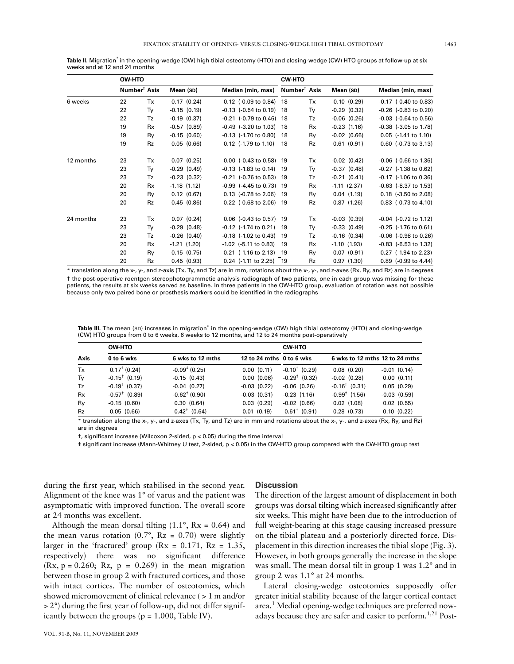**Table II.** Migration\* in the opening-wedge (OW) high tibial osteotomy (HTO) and closing-wedge (CW) HTO groups at follow-up at six weeks and at 12 and 24 months

|           | OW-HTO                   |           |                  |  |                             | <b>CW-HTO</b>            |           |                  |  |  |                                    |
|-----------|--------------------------|-----------|------------------|--|-----------------------------|--------------------------|-----------|------------------|--|--|------------------------------------|
|           | Number <sup>†</sup> Axis |           | Mean (SD)        |  | Median (min, max)           | Number <sup>†</sup> Axis |           | Mean (SD)        |  |  | Median (min, max)                  |
| 6 weeks   | 22                       | Tx        | 0.17(0.24)       |  | $0.12$ (-0.09 to 0.84)      | 18                       | Tx        | $-0.10(0.29)$    |  |  | $-0.17$ $(-0.40 \text{ to } 0.83)$ |
|           | 22                       | Ty        | $-0.15(0.19)$    |  | $-0.13$ $(-0.54$ to $0.19)$ | 18                       | Ty        | $-0.29(0.32)$    |  |  | $-0.26$ ( $-0.83$ to 0.20)         |
|           | 22                       | Tz        | $-0.19(0.37)$    |  | $-0.21$ ( $-0.79$ to 0.46)  | 18                       | Tz        | $-0.06$ $(0.26)$ |  |  | $-0.03$ $(-0.64 \text{ to } 0.56)$ |
|           | 19                       | Rx        | $-0.57$ $(0.89)$ |  | $-0.49$ ( $-3.20$ to 1.03)  | 18                       | Rx        | $-0.23$ $(1.16)$ |  |  | $-0.38$ ( $-3.05$ to 1.78)         |
|           | 19                       | Ry        | $-0.15(0.60)$    |  | $-0.13$ $(-1.70$ to 0.80)   | 18                       | Ry        | $-0.02$ $(0.66)$ |  |  | $0.05$ (-1.41 to 1.10)             |
|           | 19                       | <b>Rz</b> | 0.05(0.66)       |  | $0.12$ (-1.79 to 1.10)      | 18                       | Rz        | 0.61(0.91)       |  |  | $0.60$ (-0.73 to 3.13)             |
| 12 months | 23                       | Tx        | 0.07(0.25)       |  | $0.00$ (-0.43 to 0.58)      | 19                       | Tx        | $-0.02$ $(0.42)$ |  |  | $-0.06$ ( $-0.66$ to 1.36)         |
|           | 23                       | Ty        | $-0.29(0.49)$    |  | $-0.13$ $(-1.83$ to $0.14)$ | 19                       | Ty        | $-0.37(0.48)$    |  |  | $-0.27$ ( $-1.38$ to 0.62)         |
|           | 23                       | Tz        | $-0.23$ $(0.32)$ |  | $-0.21$ ( $-0.76$ to 0.53)  | 19                       | Tz        | $-0.21(0.41)$    |  |  | $-0.17$ ( $-1.06$ to 0.36)         |
|           | 20                       | Rx        | $-1.18$ $(1.12)$ |  | $-0.99$ ( $-4.45$ to 0.73)  | -19                      | Rx        | $-1.11$ $(2.37)$ |  |  | $-0.63$ ( $-8.37$ to 1.53)         |
|           | 20                       | Ry        | 0.12(0.67)       |  | $0.13$ (-0.78 to 2.06)      | 19                       | Ry        | 0.04(1.19)       |  |  | 0.18 (-3.50 to 2.08)               |
|           | 20                       | <b>Rz</b> | 0.45(0.86)       |  | 0.22 (-0.68 to 2.06)        | 19                       | Rz        | 0.87(1.26)       |  |  | 0.83 (-0.73 to 4.10)               |
| 24 months | 23                       | Tx        | 0.07(0.24)       |  | $0.06$ (-0.43 to 0.57)      | 19                       | Tx        | $-0.03$ $(0.39)$ |  |  | $-0.04$ $(-0.72$ to 1.12)          |
|           | 23                       | Ty        | $-0.29(0.48)$    |  | $-0.12$ ( $-1.74$ to 0.21)  | 19                       | Tγ        | $-0.33(0.49)$    |  |  | $-0.25$ ( $-1.76$ to 0.61)         |
|           | 23                       | Tz        | $-0.26$ $(0.40)$ |  | $-0.18$ ( $-1.02$ to 0.43)  | 19                       | Tz        | $-0.16$ $(0.34)$ |  |  | $-0.06$ ( $-0.98$ to 0.26)         |
|           | 20                       | Rx        | $-1.21(1.20)$    |  | $-1.02$ ( $-5.11$ to 0.83)  | 19                       | Rx        | $-1.10$ $(1.93)$ |  |  | $-0.83$ ( $-6.53$ to 1.32)         |
|           | 20                       | Ry        | 0.15(0.75)       |  | $0.21$ (-1.16 to 2.13)      | -19                      | Ry        | 0.07(0.91)       |  |  | 0.27 (-1.94 to 2.23)               |
|           | 20                       | Rz        | 0.45(0.93)       |  | $0.24$ (-1.11 to 2.25)      | - 19                     | <b>Rz</b> | 0.97(1.30)       |  |  | $0.89$ (-0.99 to 4.44)             |

\* translation along the x-, y-, and z-axis (Tx, Ty, and Tz) are in mm, rotations about the x-, y-, and z-axes (Rx, Ry, and Rz) are in degrees † the post-operative roentgen stereophotogrammetic analysis radiograph of two patients, one in each group was missing for these patients, the results at six weeks served as baseline. In three patients in the OW-HTO group, evaluation of rotation was not possible because only two paired bone or prosthesis markers could be identified in the radiographs

Table III. The mean (SD) increases in migration<sup>\*</sup> in the opening-wedge (OW) high tibial osteotomy (HTO) and closing-wedge (CW) HTO groups from 0 to 6 weeks, 6 weeks to 12 months, and 12 to 24 months post-operatively

| Axis | <b>OW-HTO</b>               |                           | <b>CW-HTO</b>            |                             |                                |                  |  |  |  |
|------|-----------------------------|---------------------------|--------------------------|-----------------------------|--------------------------------|------------------|--|--|--|
|      | 0 to 6 wks                  | 6 wks to 12 mths          | 12 to 24 mths 0 to 6 wks |                             | 6 wks to 12 mths 12 to 24 mths |                  |  |  |  |
| Tx   | $0.17^{\dagger}$ (0.24)     | $-0.09^{\ddagger}$ (0.25) | 0.00(0.11)               | $-0.10^{\dagger}$ (0.29)    | 0.08(0.20)                     | $-0.01$ $(0.14)$ |  |  |  |
| Ty   | $-0.15^{\dagger}$ (0.19)    | $-0.15(0.43)$             | 0.00(0.06)               | $-0.29$ <sup>†</sup> (0.32) | $-0.02$ $(0.28)$               | 0.00(0.11)       |  |  |  |
| Tz   | $-0.19$ <sup>†</sup> (0.37) | $-0.04$ $(0.27)$          | $-0.03$ $(0.22)$         | $-0.06$ $(0.26)$            | $-0.16$ <sup>†</sup> (0.31)    | 0.05(0.29)       |  |  |  |
| Rx   | $-0.57^{\dagger}$ (0.89)    | $-0.62^{\dagger}$ (0.90)  | $-0.03$ $(0.31)$         | $-0.23(1.16)$               | $-0.99^{\dagger}$ (1.56)       | $-0.03$ $(0.59)$ |  |  |  |
| Ry   | $-0.15(0.60)$               | 0.30(0.64)                | 0.03(0.29)               | $-0.02$ $(0.66)$            | $0.02$ (1.08)                  | $0.02$ $(0.55)$  |  |  |  |
| Rz   | 0.05(0.66)                  | $0.42^{\dagger}$ (0.64)   | $0.01$ $(0.19)$          | $0.61^+$ (0.91)             | 0.28(0.73)                     | 0.10(0.22)       |  |  |  |

\* translation along the x-, y-, and z-axes (Tx, Ty, and Tz) are in mm and rotations about the x-, y-, and z-axes (Rx, Ry, and Rz) are in degrees

†, significant increase (Wilcoxon 2-sided, p < 0.05) during the time interval

‡ significant increase (Mann-Whitney U test, 2-sided, p < 0.05) in the OW-HTO group compared with the CW-HTO group test

during the first year, which stabilised in the second year. Alignment of the knee was 1° of varus and the patient was asymptomatic with improved function. The overall score at 24 months was excellent.

Although the mean dorsal tilting  $(1.1^{\circ}, Rx = 0.64)$  and the mean varus rotation  $(0.7^{\circ}, Rz = 0.70)$  were slightly larger in the 'fractured' group ( $Rx = 0.171$ ,  $Rz = 1.35$ , respectively) there was no significant difference  $(Rx, p = 0.260; Rz, p = 0.269)$  in the mean migration between those in group 2 with fractured cortices, and those with intact cortices. The number of osteotomies, which showed micromovement of clinical relevance ( > 1 m and/or  $> 2^{\circ}$ ) during the first year of follow-up, did not differ significantly between the groups ( $p = 1.000$ , Table IV).

### **Discussion**

The direction of the largest amount of displacement in both groups was dorsal tilting which increased significantly after six weeks. This might have been due to the introduction of full weight-bearing at this stage causing increased pressure on the tibial plateau and a posteriorly directed force. Displacement in this direction increases the tibial slope (Fig. 3). However, in both groups generally the increase in the slope was small. The mean dorsal tilt in group 1 was 1.2° and in group 2 was 1.1° at 24 months.

Lateral closing-wedge osteotomies supposedly offer greater initial stability because of the larger cortical contact area.<sup>1</sup> Medial opening-wedge techniques are preferred nowadays because they are safer and easier to perform.<sup>1,21</sup> Post-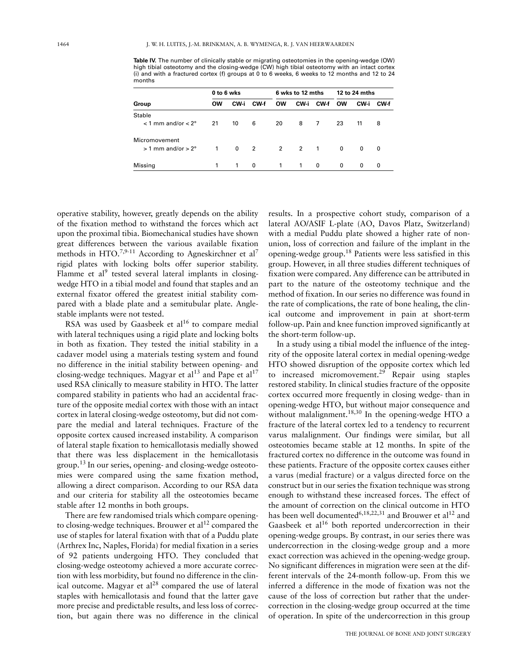**Table IV.** The number of clinically stable or migrating osteotomies in the opening-wedge (OW) high tibial osteotomy and the closing-wedge (CW) high tibial osteotomy with an intact cortex (i) and with a fractured cortex (f) groups at 0 to 6 weeks, 6 weeks to 12 months and 12 to 24 months

|                                 | 0 to 6 wks |              |      | 6 wks to 12 mths |              |      | 12 to 24 mths |      |      |
|---------------------------------|------------|--------------|------|------------------|--------------|------|---------------|------|------|
| Group                           | <b>OW</b>  | CW-i         | CW-f | <b>OW</b>        | CW-i         | CW-f | <b>OW</b>     | CW-i | CW-f |
| Stable                          |            |              |      |                  |              |      |               |      |      |
| $<$ 1 mm and/or $<$ 2 $\degree$ | 21         | 10           | 6    | 20               | 8            | 7    | 23            | 11   | 8    |
| Micromovement                   |            |              |      |                  |              |      |               |      |      |
| $> 1$ mm and/or $> 2^{\circ}$   | 1          | $\mathbf 0$  | 2    |                  | 2 2 1        |      | 0             | 0    | 0    |
| Missing                         | 1          | $\mathbf{1}$ | 0    | $\mathbf{1}$     | $\mathbf{1}$ | 0    | 0             | 0    | 0    |

operative stability, however, greatly depends on the ability of the fixation method to withstand the forces which act upon the proximal tibia. Biomechanical studies have shown great differences between the various available fixation methods in HTO.<sup>7,9-11</sup> According to Agneskirchner et al<sup>7</sup> rigid plates with locking bolts offer superior stability. Flamme et al<sup>9</sup> tested several lateral implants in closingwedge HTO in a tibial model and found that staples and an external fixator offered the greatest initial stability compared with a blade plate and a semitubular plate. Anglestable implants were not tested.

RSA was used by Gaasbeek et  $al^{16}$  to compare medial with lateral techniques using a rigid plate and locking bolts in both as fixation. They tested the initial stability in a cadaver model using a materials testing system and found no difference in the initial stability between opening- and closing-wedge techniques. Magyar et al<sup>13</sup> and Pape et al<sup>17</sup> used RSA clinically to measure stability in HTO. The latter compared stability in patients who had an accidental fracture of the opposite medial cortex with those with an intact cortex in lateral closing-wedge osteotomy, but did not compare the medial and lateral techniques. Fracture of the opposite cortex caused increased instability. A comparison of lateral staple fixation to hemicallotasis medially showed that there was less displacement in the hemicallotasis group.<sup>13</sup> In our series, opening- and closing-wedge osteotomies were compared using the same fixation method, allowing a direct comparison. According to our RSA data and our criteria for stability all the osteotomies became stable after 12 months in both groups.

There are few randomised trials which compare openingto closing-wedge techniques. Brouwer et  $al^{12}$  compared the use of staples for lateral fixation with that of a Puddu plate (Arthrex Inc, Naples, Florida) for medial fixation in a series of 92 patients undergoing HTO. They concluded that closing-wedge osteotomy achieved a more accurate correction with less morbidity, but found no difference in the clinical outcome. Magyar et  $al^{28}$  compared the use of lateral staples with hemicallotasis and found that the latter gave more precise and predictable results, and less loss of correction, but again there was no difference in the clinical

results. In a prospective cohort study, comparison of a lateral AO/ASIF L-plate (AO, Davos Platz, Switzerland) with a medial Puddu plate showed a higher rate of nonunion, loss of correction and failure of the implant in the opening-wedge group.<sup>18</sup> Patients were less satisfied in this group. However, in all three studies different techniques of fixation were compared. Any difference can be attributed in part to the nature of the osteotomy technique and the method of fixation. In our series no difference was found in the rate of complications, the rate of bone healing, the clinical outcome and improvement in pain at short-term follow-up. Pain and knee function improved significantly at the short-term follow-up.

In a study using a tibial model the influence of the integrity of the opposite lateral cortex in medial opening-wedge HTO showed disruption of the opposite cortex which led to increased micromovement.<sup>29</sup> Repair using staples restored stability. In clinical studies fracture of the opposite cortex occurred more frequently in closing wedge- than in opening-wedge HTO, but without major consequence and without malalignment.<sup>18,30</sup> In the opening-wedge HTO a fracture of the lateral cortex led to a tendency to recurrent varus malalignment. Our findings were similar, but all osteotomies became stable at 12 months. In spite of the fractured cortex no difference in the outcome was found in these patients. Fracture of the opposite cortex causes either a varus (medial fracture) or a valgus directed force on the construct but in our series the fixation technique was strong enough to withstand these increased forces. The effect of the amount of correction on the clinical outcome in HTO has been well documented<sup>6,18,22,31</sup> and Brouwer et al<sup>12</sup> and Gaasbeek et al<sup>16</sup> both reported undercorrection in their opening-wedge groups. By contrast, in our series there was undercorrection in the closing-wedge group and a more exact correction was achieved in the opening-wedge group. No significant differences in migration were seen at the different intervals of the 24-month follow-up. From this we inferred a difference in the mode of fixation was not the cause of the loss of correction but rather that the undercorrection in the closing-wedge group occurred at the time of operation. In spite of the undercorrection in this group